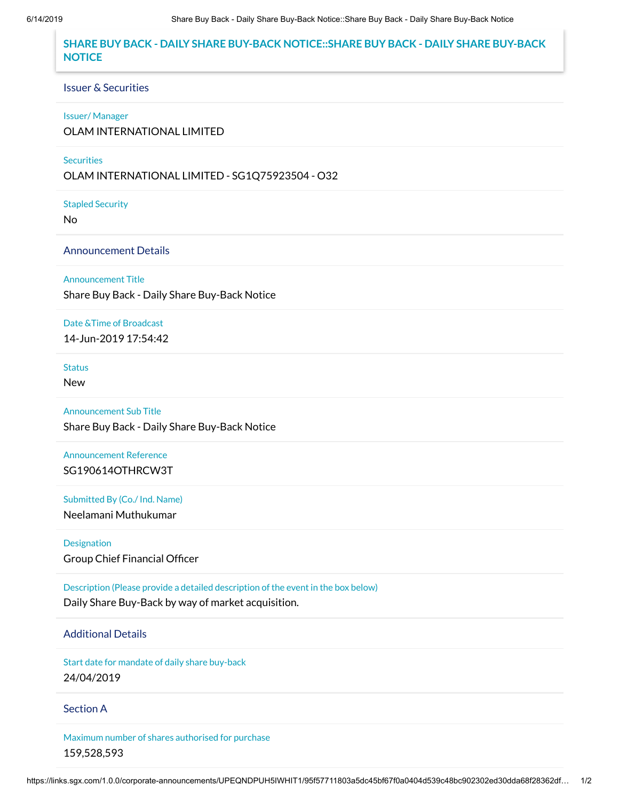# **SHARE BUY BACK - DAILY SHARE BUY-BACK NOTICE::SHARE BUY BACK - DAILY SHARE BUY-BACK NOTICE**

#### Issuer & Securities

#### Issuer/ Manager

OLAM INTERNATIONAL LIMITED

#### **Securities**

OLAM INTERNATIONAL LIMITED - SG1Q75923504 - O32

Stapled Security

No

### Announcement Details

Announcement Title

Share Buy Back - Daily Share Buy-Back Notice

### Date &Time of Broadcast

14-Jun-2019 17:54:42

# **Status**

New

Announcement Sub Title

Share Buy Back - Daily Share Buy-Back Notice

# Announcement Reference SG190614OTHRCW3T

Submitted By (Co./ Ind. Name) Neelamani Muthukumar

Designation Group Chief Financial Officer

Description (Please provide a detailed description of the event in the box below) Daily Share Buy-Back by way of market acquisition.

# Additional Details

Start date for mandate of daily share buy-back 24/04/2019

### Section A

Maximum number of shares authorised for purchase 159,528,593